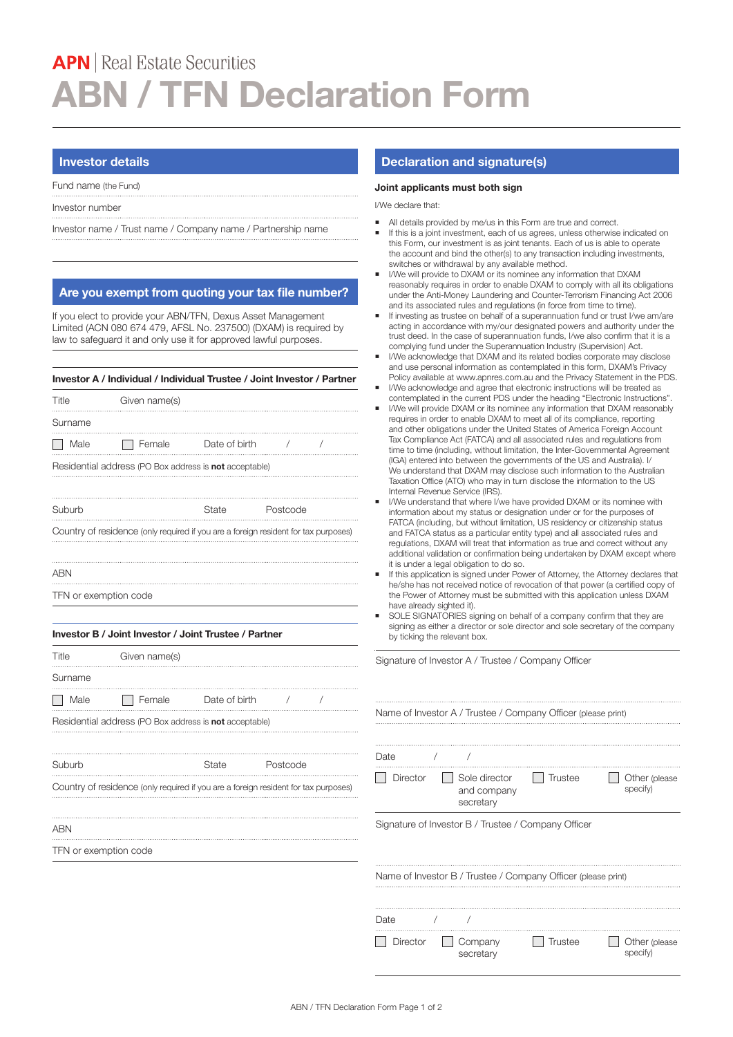# **APN** | Real Estate Securities **ABN / TFN Declaration Form**

## **Investor details**

Fund name (the Fund)

Investor number

Investor name / Trust name / Company name / Partnership name

## **Are you exempt from quoting your tax file number?**

If you elect to provide your ABN/TFN, Dexus Asset Management Limited (ACN 080 674 479, AFSL No. 237500) (DXAM) is required by law to safeguard it and only use it for approved lawful purposes.

### **Investor A / Individual / Individual Trustee / Joint Investor / Partner**

| Title                                                                               | Given name(s) |               |          |  |  |  |  |
|-------------------------------------------------------------------------------------|---------------|---------------|----------|--|--|--|--|
| Surname                                                                             |               |               |          |  |  |  |  |
| Male                                                                                | Female        | Date of birth |          |  |  |  |  |
| Residential address (PO Box address is not acceptable)                              |               |               |          |  |  |  |  |
|                                                                                     |               |               |          |  |  |  |  |
| Suburb                                                                              |               | State         | Postcode |  |  |  |  |
| Country of residence (only required if you are a foreign resident for tax purposes) |               |               |          |  |  |  |  |
|                                                                                     |               |               |          |  |  |  |  |
| ARN                                                                                 |               |               |          |  |  |  |  |

TFN or exemption code

#### **Investor B / Joint Investor / Joint Trustee / Partner**

| Title                                                  | Given name(s) |               |          |  |  |  |  |
|--------------------------------------------------------|---------------|---------------|----------|--|--|--|--|
| Surname                                                |               |               |          |  |  |  |  |
| Male                                                   | Female        | Date of birth |          |  |  |  |  |
| Residential address (PO Box address is not acceptable) |               |               |          |  |  |  |  |
|                                                        |               |               |          |  |  |  |  |
| Suburh                                                 |               | ata:          | Postcode |  |  |  |  |

Country of residence (only required if you are a foreign resident for tax purposes)

#### ABN

TFN or exemption code

## **Declaration and signature(s)**

#### **Joint applicants must both sign**

I/We declare that:

- All details provided by me/us in this Form are true and correct.
- If this is a joint investment, each of us agrees, unless otherwise indicated on this Form, our investment is as joint tenants. Each of us is able to operate the account and bind the other(s) to any transaction including investments, switches or withdrawal by any available method.
- I/We will provide to DXAM or its nominee any information that DXAM reasonably requires in order to enable DXAM to comply with all its obligations under the Anti-Money Laundering and Counter-Terrorism Financing Act 2006 and its associated rules and regulations (in force from time to time).
- If investing as trustee on behalf of a superannuation fund or trust I/we am/are acting in accordance with my/our designated powers and authority under the trust deed. In the case of superannuation funds, I/we also confirm that it is a complying fund under the Superannuation Industry (Supervision) Act.
- I/We acknowledge that DXAM and its related bodies corporate may disclose and use personal information as contemplated in this form, DXAM's Privacy Policy available at www.apnres.com.au and the Privacy Statement in the PDS.
- I/We acknowledge and agree that electronic instructions will be treated as contemplated in the current PDS under the heading "Electronic Instructions".
- I/We will provide DXAM or its nominee any information that DXAM reasonably requires in order to enable DXAM to meet all of its compliance, reporting and other obligations under the United States of America Foreign Account Tax Compliance Act (FATCA) and all associated rules and regulations from time to time (including, without limitation, the Inter-Governmental Agreement (IGA) entered into between the governments of the US and Australia). I/ We understand that DXAM may disclose such information to the Australian Taxation Office (ATO) who may in turn disclose the information to the US Internal Revenue Service (IRS).
- I/We understand that where I/we have provided DXAM or its nominee with information about my status or designation under or for the purposes of FATCA (including, but without limitation, US residency or citizenship status and FATCA status as a particular entity type) and all associated rules and regulations, DXAM will treat that information as true and correct without any additional validation or confirmation being undertaken by DXAM except where it is under a legal obligation to do so.
- If this application is signed under Power of Attorney, the Attorney declares that he/she has not received notice of revocation of that power (a certified copy of the Power of Attorney must be submitted with this application unless DXAM have already sighted it).
- SOLE SIGNATORIES signing on behalf of a company confirm that they are signing as either a director or sole director and sole secretary of the company by ticking the relevant box.

Signature of Investor A / Trustee / Company Officer

| Name of Investor A / Trustee / Company Officer (please print) |                                                               |                |                           |  |  |  |  |
|---------------------------------------------------------------|---------------------------------------------------------------|----------------|---------------------------|--|--|--|--|
|                                                               |                                                               |                |                           |  |  |  |  |
|                                                               |                                                               |                |                           |  |  |  |  |
| Date                                                          |                                                               |                |                           |  |  |  |  |
| Director                                                      | Sole director<br>and company<br>secretary                     | <b>Trustee</b> | Other (please<br>specify) |  |  |  |  |
|                                                               | Signature of Investor B / Trustee / Company Officer           |                |                           |  |  |  |  |
|                                                               |                                                               |                |                           |  |  |  |  |
|                                                               |                                                               |                |                           |  |  |  |  |
|                                                               |                                                               |                |                           |  |  |  |  |
|                                                               | Name of Investor B / Trustee / Company Officer (please print) |                |                           |  |  |  |  |
|                                                               |                                                               |                |                           |  |  |  |  |
| Date                                                          |                                                               |                |                           |  |  |  |  |
|                                                               |                                                               |                |                           |  |  |  |  |
| Director                                                      | Company<br>secretary                                          | <b>Trustee</b> | Other (please<br>specify) |  |  |  |  |
|                                                               |                                                               |                |                           |  |  |  |  |